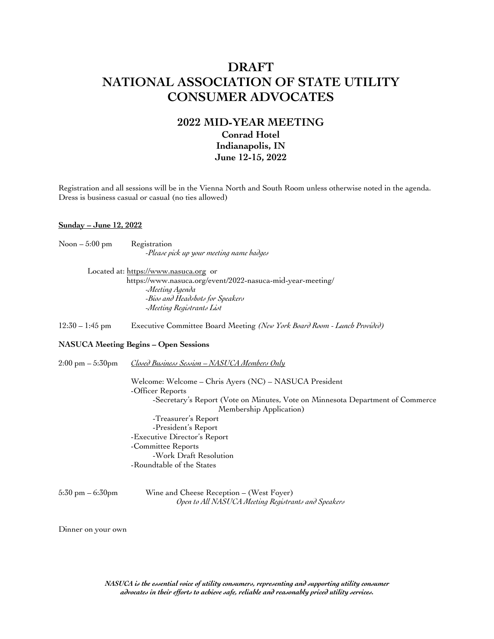# **DRAFT NATIONAL ASSOCIATION OF STATE UTILITY CONSUMER ADVOCATES**

## **2022 MID-YEAR MEETING Conrad Hotel Indianapolis, IN June 12-15, 2022**

Registration and all sessions will be in the Vienna North and South Room unless otherwise noted in the agenda. Dress is business casual or casual (no ties allowed)

#### **Sunday – June 12, 2022**

| Noon – 5:00 pm                      | Registration                                                                                  |
|-------------------------------------|-----------------------------------------------------------------------------------------------|
|                                     | -Please pick up your meeting name badges                                                      |
|                                     | Located at: https://www.nasuca.org or                                                         |
|                                     | https://www.nasuca.org/event/2022-nasuca-mid-year-meeting/                                    |
|                                     | -Meeting Agenda                                                                               |
|                                     | -Bios and Headshots for Speakers                                                              |
|                                     | -Meeting Registrants List                                                                     |
| $12:30 - 1:45$ pm                   | Executive Committee Board Meeting (New York Board Room - Lunch Provided)                      |
|                                     | <b>NASUCA Meeting Begins - Open Sessions</b>                                                  |
| $2:00 \text{ pm} - 5:30 \text{ pm}$ | Closed Business Session - NASUCA Members Only                                                 |
|                                     | Welcome: Welcome – Chris Ayers (NC) – NASUCA President                                        |
|                                     | -Officer Reports                                                                              |
|                                     | -Secretary's Report (Vote on Minutes, Vote on Minnesota Department<br>Membership Application) |
|                                     | -Treasurer's Report                                                                           |
|                                     | -President's Report                                                                           |
|                                     | -Executive Director's Report                                                                  |
|                                     | -Committee Reports                                                                            |
|                                     | -Work Draft Resolution                                                                        |
|                                     | -Roundtable of the States                                                                     |
|                                     |                                                                                               |

5:30 pm – 6:30pm Wine and Cheese Reception – (West Foyer) *Open to All NASUCA Meeting Registrants and Speakers* of Commerce

Dinner on your own

*NASUCA is the essential voice of utility consumers, representing and supporting utility consumer advocates in their efforts to achieve safe, reliable and reasonably priced utility services.*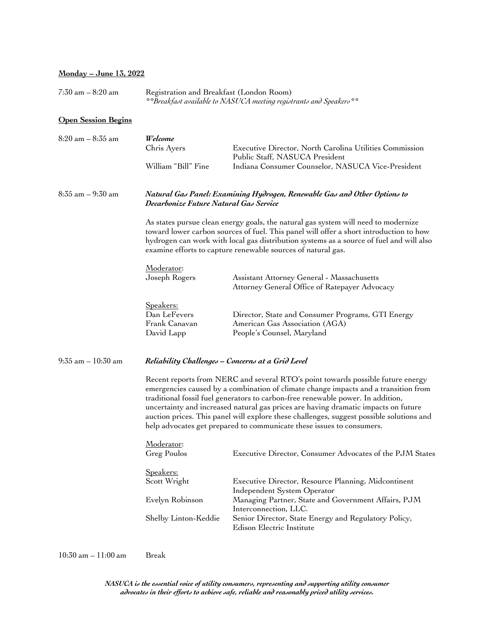#### **Monday – June 13, 2022**

7:30 am – 8:20 am Registration and Breakfast (London Room) *\*\*Breakfast available to NASUCA meeting registrants and Speakers\*\**

### **Open Session Begins**

| 8:20 am – 8:35 am    | Welcome<br>Chris Ayers<br>William "Bill" Fine                                                                                                                                                                                                                                                                                                                                                                                                                                                                        | Executive Director, North Carolina Utilities Commission<br>Public Staff, NASUCA President<br>Indiana Consumer Counselor, NASUCA Vice-President                     |  |  |
|----------------------|----------------------------------------------------------------------------------------------------------------------------------------------------------------------------------------------------------------------------------------------------------------------------------------------------------------------------------------------------------------------------------------------------------------------------------------------------------------------------------------------------------------------|--------------------------------------------------------------------------------------------------------------------------------------------------------------------|--|--|
| $8:35$ am $-9:30$ am | Natural Gas Panel: Examining Hydrogen, Renewable Gas and Other Options to<br>Decarbonize Future Natural Gas Service                                                                                                                                                                                                                                                                                                                                                                                                  |                                                                                                                                                                    |  |  |
|                      | As states pursue clean energy goals, the natural gas system will need to modernize<br>toward lower carbon sources of fuel. This panel will offer a short introduction to how<br>hydrogen can work with local gas distribution systems as a source of fuel and will also<br>examine efforts to capture renewable sources of natural gas.                                                                                                                                                                              |                                                                                                                                                                    |  |  |
|                      | Moderator:<br>Joseph Rogers                                                                                                                                                                                                                                                                                                                                                                                                                                                                                          | Assistant Attorney General - Massachusetts<br>Attorney General Office of Ratepayer Advocacy                                                                        |  |  |
|                      | <u>Speakers:</u><br>Dan LeFevers<br>Frank Canavan<br>David Lapp                                                                                                                                                                                                                                                                                                                                                                                                                                                      | Director, State and Consumer Programs, GTI Energy<br>American Gas Association (AGA)<br>People's Counsel, Maryland                                                  |  |  |
| 9:35 am – 10:30 am   | Reliability Challenges - Concerns at a Grid Level                                                                                                                                                                                                                                                                                                                                                                                                                                                                    |                                                                                                                                                                    |  |  |
|                      | Recent reports from NERC and several RTO's point towards possible future energy<br>emergencies caused by a combination of climate change impacts and a transition from<br>traditional fossil fuel generators to carbon-free renewable power. In addition,<br>uncertainty and increased natural gas prices are having dramatic impacts on future<br>auction prices. This panel will explore these challenges, suggest possible solutions and<br>help advocates get prepared to communicate these issues to consumers. |                                                                                                                                                                    |  |  |
|                      | Moderator:<br>Greg Poulos                                                                                                                                                                                                                                                                                                                                                                                                                                                                                            | Executive Director, Consumer Advocates of the PJM States                                                                                                           |  |  |
|                      | Speakers:<br>Scott Wright<br>Evelyn Robinson                                                                                                                                                                                                                                                                                                                                                                                                                                                                         | Executive Director, Resource Planning, Midcontinent<br>Independent System Operator<br>Managing Partner, State and Government Affairs, PJM<br>Interconnection, LLC. |  |  |
|                      | Shelby Linton-Keddie                                                                                                                                                                                                                                                                                                                                                                                                                                                                                                 | Senior Director, State Energy and Regulatory Policy,<br>Edison Electric Institute                                                                                  |  |  |

10:30 am – 11:00 am Break

*NASUCA is the essential voice of utility consumers, representing and supporting utility consumer advocates in their efforts to achieve safe, reliable and reasonably priced utility services.*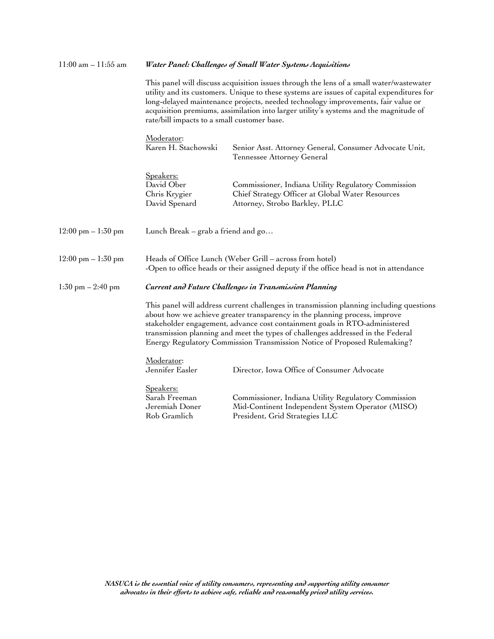| $11:00$ am $-11:55$ am               | Water Panel: Challenges of Small Water Systems Acquisitions                                                                                                                                                                                                                                                                                                                                                        |                                                                                                                                                   |  |  |
|--------------------------------------|--------------------------------------------------------------------------------------------------------------------------------------------------------------------------------------------------------------------------------------------------------------------------------------------------------------------------------------------------------------------------------------------------------------------|---------------------------------------------------------------------------------------------------------------------------------------------------|--|--|
|                                      | This panel will discuss acquisition issues through the lens of a small water/wastewater<br>utility and its customers. Unique to these systems are issues of capital expenditures for<br>long-delayed maintenance projects, needed technology improvements, fair value or<br>acquisition premiums, assimilation into larger utility's systems and the magnitude of<br>rate/bill impacts to a small customer base.   |                                                                                                                                                   |  |  |
|                                      | Moderator:<br>Karen H. Stachowski                                                                                                                                                                                                                                                                                                                                                                                  | Senior Asst. Attorney General, Consumer Advocate Unit,<br>Tennessee Attorney General                                                              |  |  |
|                                      | <u>Speakers:</u><br>David Ober<br>Chris Krygier<br>David Spenard                                                                                                                                                                                                                                                                                                                                                   | Commissioner, Indiana Utility Regulatory Commission<br>Chief Strategy Officer at Global Water Resources<br>Attorney, Strobo Barkley, PLLC         |  |  |
| $12:00 \text{ pm} - 1:30 \text{ pm}$ | Lunch Break $-$ grab a friend and go                                                                                                                                                                                                                                                                                                                                                                               |                                                                                                                                                   |  |  |
| $12:00 \text{ pm} - 1:30 \text{ pm}$ |                                                                                                                                                                                                                                                                                                                                                                                                                    | Heads of Office Lunch (Weber Grill - across from hotel)<br>-Open to office heads or their assigned deputy if the office head is not in attendance |  |  |
| $1:30$ pm $- 2:40$ pm                |                                                                                                                                                                                                                                                                                                                                                                                                                    | Current and Future Challenges in Transmission Planning                                                                                            |  |  |
|                                      | This panel will address current challenges in transmission planning including questions<br>about how we achieve greater transparency in the planning process, improve<br>stakeholder engagement, advance cost containment goals in RTO-administered<br>transmission planning and meet the types of challenges addressed in the Federal<br>Energy Regulatory Commission Transmission Notice of Proposed Rulemaking? |                                                                                                                                                   |  |  |
|                                      | Moderator:<br>Jennifer Easler                                                                                                                                                                                                                                                                                                                                                                                      | Director, Iowa Office of Consumer Advocate                                                                                                        |  |  |
|                                      | Speakers:<br>Sarah Freeman<br>Jeremiah Doner<br>Rob Gramlich                                                                                                                                                                                                                                                                                                                                                       | Commissioner, Indiana Utility Regulatory Commission<br>Mid-Continent Independent System Operator (MISO)<br>President, Grid Strategies LLC         |  |  |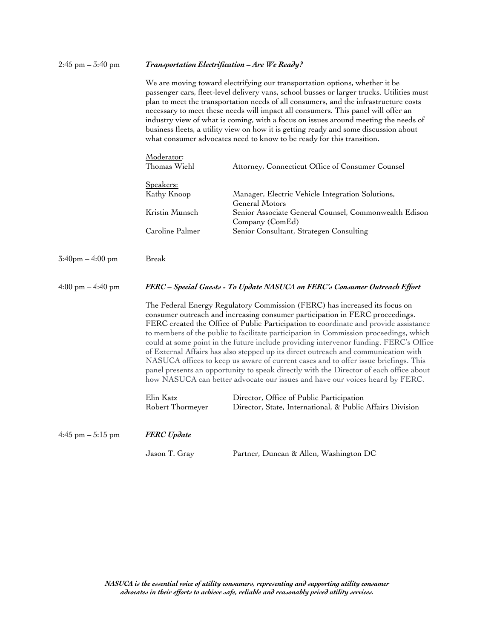| $2:45$ pm $- 3:40$ pm               | Transportation Electrification - Are We Ready?<br>We are moving toward electrifying our transportation options, whether it be<br>passenger cars, fleet-level delivery vans, school busses or larger trucks. Utilities must<br>plan to meet the transportation needs of all consumers, and the infrastructure costs<br>necessary to meet these needs will impact all consumers. This panel will offer an<br>industry view of what is coming, with a focus on issues around meeting the needs of<br>business fleets, a utility view on how it is getting ready and some discussion about<br>what consumer advocates need to know to be ready for this transition.                                                                                                                             |                                                                                                       |  |  |
|-------------------------------------|---------------------------------------------------------------------------------------------------------------------------------------------------------------------------------------------------------------------------------------------------------------------------------------------------------------------------------------------------------------------------------------------------------------------------------------------------------------------------------------------------------------------------------------------------------------------------------------------------------------------------------------------------------------------------------------------------------------------------------------------------------------------------------------------|-------------------------------------------------------------------------------------------------------|--|--|
|                                     |                                                                                                                                                                                                                                                                                                                                                                                                                                                                                                                                                                                                                                                                                                                                                                                             |                                                                                                       |  |  |
|                                     | Moderator:<br>Thomas Wiehl                                                                                                                                                                                                                                                                                                                                                                                                                                                                                                                                                                                                                                                                                                                                                                  | Attorney, Connecticut Office of Consumer Counsel                                                      |  |  |
|                                     | Speakers:<br>Kathy Knoop                                                                                                                                                                                                                                                                                                                                                                                                                                                                                                                                                                                                                                                                                                                                                                    | Manager, Electric Vehicle Integration Solutions,<br>General Motors                                    |  |  |
|                                     | Kristin Munsch                                                                                                                                                                                                                                                                                                                                                                                                                                                                                                                                                                                                                                                                                                                                                                              | Senior Associate General Counsel, Commonwealth Edison                                                 |  |  |
|                                     | Caroline Palmer                                                                                                                                                                                                                                                                                                                                                                                                                                                                                                                                                                                                                                                                                                                                                                             | Company (ComEd)<br>Senior Consultant, Strategen Consulting                                            |  |  |
| $3:40 \text{pm} - 4:00 \text{pm}$   | Break                                                                                                                                                                                                                                                                                                                                                                                                                                                                                                                                                                                                                                                                                                                                                                                       |                                                                                                       |  |  |
| $4:00 \text{ pm} - 4:40 \text{ pm}$ | FERC – Special Guests - To Update NASUCA on FERC's Consumer Outreach Effort                                                                                                                                                                                                                                                                                                                                                                                                                                                                                                                                                                                                                                                                                                                 |                                                                                                       |  |  |
|                                     | The Federal Energy Regulatory Commission (FERC) has increased its focus on<br>consumer outreach and increasing consumer participation in FERC proceedings.<br>FERC created the Office of Public Participation to coordinate and provide assistance<br>to members of the public to facilitate participation in Commission proceedings, which<br>could at some point in the future include providing intervenor funding. FERC's Office<br>of External Affairs has also stepped up its direct outreach and communication with<br>NASUCA offices to keep us aware of current cases and to offer issue briefings. This<br>panel presents an opportunity to speak directly with the Director of each office about<br>how NASUCA can better advocate our issues and have our voices heard by FERC. |                                                                                                       |  |  |
|                                     | Elin Katz<br>Robert Thormeyer                                                                                                                                                                                                                                                                                                                                                                                                                                                                                                                                                                                                                                                                                                                                                               | Director, Office of Public Participation<br>Director, State, International, & Public Affairs Division |  |  |
| $4:45$ pm $-5:15$ pm                | <b>FERC</b> Update                                                                                                                                                                                                                                                                                                                                                                                                                                                                                                                                                                                                                                                                                                                                                                          |                                                                                                       |  |  |
|                                     | Jason T. Gray                                                                                                                                                                                                                                                                                                                                                                                                                                                                                                                                                                                                                                                                                                                                                                               | Partner, Duncan & Allen, Washington DC                                                                |  |  |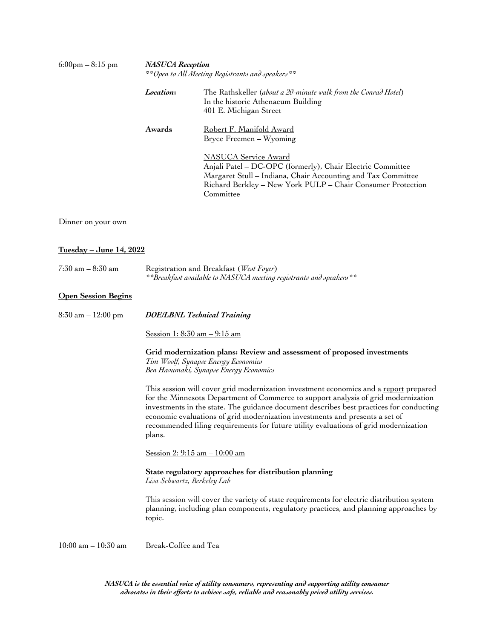| $6:00 \text{pm} - 8:15 \text{pm}$    | <b>NASUCA</b> Reception<br>**Open to All Meeting Registrants and speakers**                                                                              |                                                                                                                                                                                                                                                                                                                                                                                                                                                |  |  |
|--------------------------------------|----------------------------------------------------------------------------------------------------------------------------------------------------------|------------------------------------------------------------------------------------------------------------------------------------------------------------------------------------------------------------------------------------------------------------------------------------------------------------------------------------------------------------------------------------------------------------------------------------------------|--|--|
|                                      | Location:                                                                                                                                                | The Rathskeller (about a 20-minute walk from the Conrad Hotel)<br>In the historic Athenaeum Building<br>401 E. Michigan Street                                                                                                                                                                                                                                                                                                                 |  |  |
|                                      | Awards                                                                                                                                                   | <u> Robert F. Manifold Award</u><br>Bryce Freemen - Wyoming                                                                                                                                                                                                                                                                                                                                                                                    |  |  |
|                                      |                                                                                                                                                          | <b>NASUCA</b> Service Award<br>Anjali Patel - DC-OPC (formerly), Chair Electric Committee<br>Margaret Stull - Indiana, Chair Accounting and Tax Committee<br>Richard Berkley – New York PULP – Chair Consumer Protection<br>Committee                                                                                                                                                                                                          |  |  |
| Dinner on your own                   |                                                                                                                                                          |                                                                                                                                                                                                                                                                                                                                                                                                                                                |  |  |
| <u> Tuesday – June 14, 2022</u>      |                                                                                                                                                          |                                                                                                                                                                                                                                                                                                                                                                                                                                                |  |  |
| $7:30$ am $-8:30$ am                 | Registration and Breakfast (West Foyer)<br>**Breakfast available to NASUCA meeting registrants and speakers**                                            |                                                                                                                                                                                                                                                                                                                                                                                                                                                |  |  |
| <b>Open Session Begins</b>           |                                                                                                                                                          |                                                                                                                                                                                                                                                                                                                                                                                                                                                |  |  |
| $8:30 \text{ am} - 12:00 \text{ pm}$ | <b>DOE/LBNL Technical Training</b>                                                                                                                       |                                                                                                                                                                                                                                                                                                                                                                                                                                                |  |  |
|                                      | <u>Session 1: 8:30 am - 9:15 am</u>                                                                                                                      |                                                                                                                                                                                                                                                                                                                                                                                                                                                |  |  |
|                                      | Grid modernization plans: Review and assessment of proposed investments<br>Tim Woolf, Synapse Energy Economics<br>Ben Havumaki, Synapse Energy Economics |                                                                                                                                                                                                                                                                                                                                                                                                                                                |  |  |
|                                      | plans.                                                                                                                                                   | This session will cover grid modernization investment economics and a report prepared<br>for the Minnesota Department of Commerce to support analysis of grid modernization<br>investments in the state. The guidance document describes best practices for conducting<br>economic evaluations of grid modernization investments and presents a set of<br>recommended filing requirements for future utility evaluations of grid modernization |  |  |
|                                      | <u>Session 2: 9:15 am - 10:00 am</u>                                                                                                                     |                                                                                                                                                                                                                                                                                                                                                                                                                                                |  |  |
|                                      | State regulatory approaches for distribution planning<br>Lisa Schwartz, Berkeley Lab                                                                     |                                                                                                                                                                                                                                                                                                                                                                                                                                                |  |  |
|                                      | topic.                                                                                                                                                   | This session will cover the variety of state requirements for electric distribution system<br>planning, including plan components, regulatory practices, and planning approaches by                                                                                                                                                                                                                                                            |  |  |
| $10:00$ am $- 10:30$ am              | Break-Coffee and Tea                                                                                                                                     |                                                                                                                                                                                                                                                                                                                                                                                                                                                |  |  |

*NASUCA is the essential voice of utility consumers, representing and supporting utility consumer advocates in their efforts to achieve safe, reliable and reasonably priced utility services.*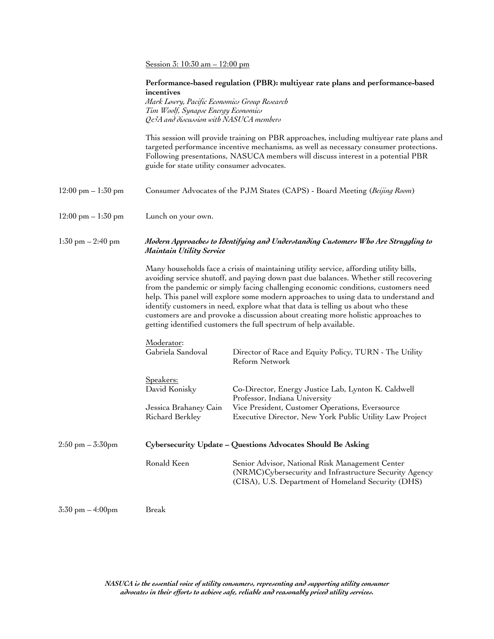| Session 3: $10:30$ am $- 12:00$ pm |  |  |  |
|------------------------------------|--|--|--|
|                                    |  |  |  |

|                                      | incentives<br>Mark Lowry, Pacific Economics Group Research<br>Tim Woolf, Synapse Energy Economics<br>Qe3A and discussion with NASUCA members | Performance-based regulation (PBR): multiyear rate plans and performance-based                                                                                                                                                                                                                                                                                                                                                                                                                                                                                                                              |  |  |
|--------------------------------------|----------------------------------------------------------------------------------------------------------------------------------------------|-------------------------------------------------------------------------------------------------------------------------------------------------------------------------------------------------------------------------------------------------------------------------------------------------------------------------------------------------------------------------------------------------------------------------------------------------------------------------------------------------------------------------------------------------------------------------------------------------------------|--|--|
|                                      | guide for state utility consumer advocates.                                                                                                  | This session will provide training on PBR approaches, including multiyear rate plans and<br>targeted performance incentive mechanisms, as well as necessary consumer protections.<br>Following presentations, NASUCA members will discuss interest in a potential PBR                                                                                                                                                                                                                                                                                                                                       |  |  |
| $12:00 \text{ pm} - 1:30 \text{ pm}$ |                                                                                                                                              | Consumer Advocates of the PJM States (CAPS) - Board Meeting (Beijing Room)                                                                                                                                                                                                                                                                                                                                                                                                                                                                                                                                  |  |  |
| $12:00 \text{ pm} - 1:30 \text{ pm}$ | Lunch on your own.                                                                                                                           |                                                                                                                                                                                                                                                                                                                                                                                                                                                                                                                                                                                                             |  |  |
| $1:30 \text{ pm} - 2:40 \text{ pm}$  | Modern Approaches to Identifying and Understanding Customers Who Are Struggling to<br><b>Maintain Utility Service</b>                        |                                                                                                                                                                                                                                                                                                                                                                                                                                                                                                                                                                                                             |  |  |
|                                      |                                                                                                                                              | Many households face a crisis of maintaining utility service, affording utility bills,<br>avoiding service shutoff, and paying down past due balances. Whether still recovering<br>from the pandemic or simply facing challenging economic conditions, customers need<br>help. This panel will explore some modern approaches to using data to understand and<br>identify customers in need, explore what that data is telling us about who these<br>customers are and provoke a discussion about creating more holistic approaches to<br>getting identified customers the full spectrum of help available. |  |  |
|                                      | Moderator:<br>Gabriela Sandoval                                                                                                              | Director of Race and Equity Policy, TURN - The Utility<br>Reform Network                                                                                                                                                                                                                                                                                                                                                                                                                                                                                                                                    |  |  |
|                                      | <u>Speakers:</u><br>David Konisky<br>Jessica Brahaney Cain<br>Richard Berkley                                                                | Co-Director, Energy Justice Lab, Lynton K. Caldwell<br>Professor, Indiana University<br>Vice President, Customer Operations, Eversource<br>Executive Director, New York Public Utility Law Project                                                                                                                                                                                                                                                                                                                                                                                                          |  |  |
| $2:50 \text{ pm} - 3:30 \text{ pm}$  | Cybersecurity Update - Questions Advocates Should Be Asking                                                                                  |                                                                                                                                                                                                                                                                                                                                                                                                                                                                                                                                                                                                             |  |  |
|                                      | Ronald Keen                                                                                                                                  | Senior Advisor, National Risk Management Center<br>(NRMC)Cybersecurity and Infrastructure Security Agency<br>(CISA), U.S. Department of Homeland Security (DHS)                                                                                                                                                                                                                                                                                                                                                                                                                                             |  |  |
| $3:30$ pm $-4:00$ pm                 | Break                                                                                                                                        |                                                                                                                                                                                                                                                                                                                                                                                                                                                                                                                                                                                                             |  |  |